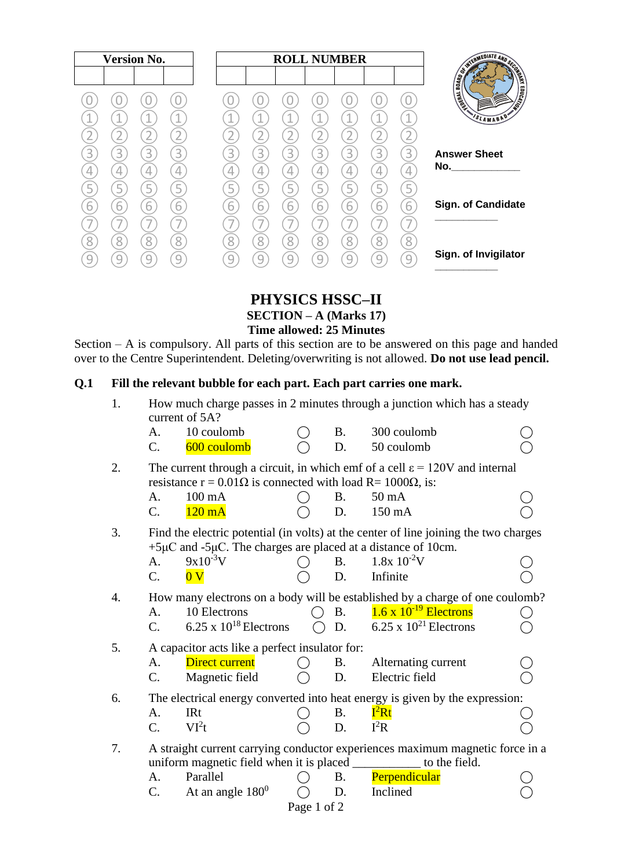|                                                                                                                                                                                                                                                       |        |        |        |        | <b>ROLL NUMBER</b> |        |   | <b>Version No.</b> |        |   |   |  |
|-------------------------------------------------------------------------------------------------------------------------------------------------------------------------------------------------------------------------------------------------------|--------|--------|--------|--------|--------------------|--------|---|--------------------|--------|---|---|--|
| <b>CONTRACTOR AND RESIDENCE</b><br><b>EDUCATION</b><br>SLAMABAD                                                                                                                                                                                       | 4      |        |        |        |                    |        |   | 4                  |        |   |   |  |
| <b>Answer Sheet</b><br>No. And the contract of the contract of the contract of the contract of the contract of the contract of the contract of the contract of the contract of the contract of the contract of the contract of the contract of the co | 3      | 3      | 3      | 3      | 3                  | 3<br>4 | 3 | 3                  | 3<br>4 | 3 |   |  |
| <b>Sign. of Candidate</b>                                                                                                                                                                                                                             | 5<br>6 | Ę<br>6 | h      | 6      | ↳<br>6<br>—        | 6      | h | 6                  | 5<br>6 | Ь | n |  |
| Sign. of Invigilator                                                                                                                                                                                                                                  | 8<br>9 | 8      | 8<br>C | Զ<br>a | 8                  | 8      | 8 | 8<br>q             | 8      | Զ |   |  |

**PHYSICS HSSC–II SECTION – A (Marks 17)**

**Time allowed: 25 Minutes**

Section – A is compulsory. All parts of this section are to be answered on this page and handed over to the Centre Superintendent. Deleting/overwriting is not allowed. **Do not use lead pencil.**

## **Q.1 Fill the relevant bubble for each part. Each part carries one mark.**

| 1. |                                                                                                                                                                      | current of 5A?                                                         |                                                                                      |            | How much charge passes in 2 minutes through a junction which has a steady     |  |  |  |
|----|----------------------------------------------------------------------------------------------------------------------------------------------------------------------|------------------------------------------------------------------------|--------------------------------------------------------------------------------------|------------|-------------------------------------------------------------------------------|--|--|--|
|    | A.                                                                                                                                                                   | 10 coulomb                                                             |                                                                                      | <b>B.</b>  | 300 coulomb                                                                   |  |  |  |
|    | $C_{\cdot}$                                                                                                                                                          | 600 coulomb                                                            |                                                                                      | D.         | 50 coulomb                                                                    |  |  |  |
| 2. | The current through a circuit, in which emf of a cell $\varepsilon = 120V$ and internal<br>resistance $r = 0.01\Omega$ is connected with load R= 1000 $\Omega$ , is: |                                                                        |                                                                                      |            |                                                                               |  |  |  |
|    | A.                                                                                                                                                                   | 100 mA                                                                 |                                                                                      | <b>B.</b>  | $50 \text{ mA}$                                                               |  |  |  |
|    | $C_{\cdot}$                                                                                                                                                          | $120 \text{ mA}$                                                       |                                                                                      | D.         | 150 mA                                                                        |  |  |  |
| 3. |                                                                                                                                                                      | $+5\mu$ C and $-5\mu$ C. The charges are placed at a distance of 10cm. | Find the electric potential (in volts) at the center of line joining the two charges |            |                                                                               |  |  |  |
|    | A <sub>1</sub>                                                                                                                                                       | $9x10^{-3}V$                                                           |                                                                                      | <b>B.</b>  | $1.8x\ 10^{-2}V$                                                              |  |  |  |
|    | $C_{\cdot}$                                                                                                                                                          | 0V                                                                     |                                                                                      | D.         | Infinite                                                                      |  |  |  |
| 4. | How many electrons on a body will be established by a charge of one coulomb?                                                                                         |                                                                        |                                                                                      |            |                                                                               |  |  |  |
|    | A.                                                                                                                                                                   | 10 Electrons                                                           |                                                                                      | <b>B</b> . | $1.6 \times 10^{-19}$ Electrons                                               |  |  |  |
|    | $C_{\cdot}$                                                                                                                                                          | $6.25 \times 10^{18}$ Electrons                                        |                                                                                      | D.         | $6.25 \times 10^{21}$ Electrons                                               |  |  |  |
| 5. | A capacitor acts like a perfect insulator for:                                                                                                                       |                                                                        |                                                                                      |            |                                                                               |  |  |  |
|    | A.                                                                                                                                                                   | <b>Direct current</b>                                                  |                                                                                      | <b>B.</b>  | Alternating current                                                           |  |  |  |
|    | $C_{\cdot}$                                                                                                                                                          | Magnetic field                                                         |                                                                                      | D.         | Electric field                                                                |  |  |  |
| 6. | The electrical energy converted into heat energy is given by the expression:                                                                                         |                                                                        |                                                                                      |            |                                                                               |  |  |  |
|    | A.                                                                                                                                                                   | <b>IRt</b>                                                             |                                                                                      | <b>B.</b>  | $I^2Rt$                                                                       |  |  |  |
|    | $C_{\cdot}$                                                                                                                                                          | VI <sup>2</sup> t                                                      |                                                                                      | D.         | $I^2R$                                                                        |  |  |  |
| 7. |                                                                                                                                                                      |                                                                        |                                                                                      |            | A straight current carrying conductor experiences maximum magnetic force in a |  |  |  |
|    |                                                                                                                                                                      |                                                                        |                                                                                      |            | uniform magnetic field when it is placed _____________ to the field.          |  |  |  |
|    | A.                                                                                                                                                                   | Parallel                                                               |                                                                                      | <b>B.</b>  | Perpendicular                                                                 |  |  |  |
|    | C.                                                                                                                                                                   | At an angle $180^0$                                                    |                                                                                      | D.         | Inclined                                                                      |  |  |  |
|    |                                                                                                                                                                      |                                                                        | Page 1 of 2                                                                          |            |                                                                               |  |  |  |
|    |                                                                                                                                                                      |                                                                        |                                                                                      |            |                                                                               |  |  |  |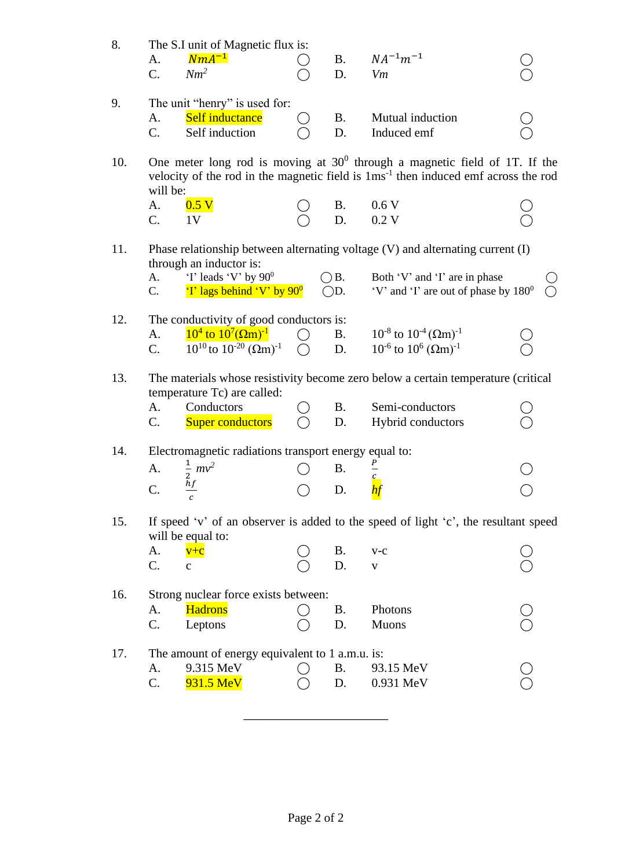| 8.  | The S.I unit of Magnetic flux is:<br>$NmA^{-1}$<br>A.<br>$Nm^2$<br>$C_{\cdot}$                                                                                                              |                                                 | <b>B.</b><br>D.                | $NA^{-1}m^{-1}$<br>Vm                                                                                                                                      |  |  |  |  |
|-----|---------------------------------------------------------------------------------------------------------------------------------------------------------------------------------------------|-------------------------------------------------|--------------------------------|------------------------------------------------------------------------------------------------------------------------------------------------------------|--|--|--|--|
| 9.  | The unit "henry" is used for:<br>Self inductance<br>А.<br>Self induction<br>C.                                                                                                              |                                                 | <b>B.</b><br>D.                | Mutual induction<br>Induced emf                                                                                                                            |  |  |  |  |
| 10. | One meter long rod is moving at $30^0$ through a magnetic field of 1T. If the<br>velocity of the rod in the magnetic field is 1ms <sup>-1</sup> then induced emf across the rod<br>will be: |                                                 |                                |                                                                                                                                                            |  |  |  |  |
|     | 0.5 <sub>V</sub><br>A.                                                                                                                                                                      |                                                 | <b>B.</b>                      | 0.6V                                                                                                                                                       |  |  |  |  |
|     | C.<br>1 <sub>V</sub>                                                                                                                                                                        |                                                 | D.                             | 0.2V                                                                                                                                                       |  |  |  |  |
| 11. | through an inductor is:<br>'I' leads 'V' by $90^0$<br>A.<br>'I' lags behind 'V' by $90^0$<br>C.                                                                                             |                                                 | $\bigcirc$ B.<br>$\bigcirc$ D. | Phase relationship between alternating voltage (V) and alternating current (I)<br>Both 'V' and 'I' are in phase<br>'V' and 'I' are out of phase by $180^0$ |  |  |  |  |
| 12. | The conductivity of good conductors is:<br>$10^4$ to $10^7 (\Omega m)^{-1}$<br>A.<br>$10^{10}$ to $10^{-20}$ $(\Omega m)^{-1}$<br>$C_{\cdot}$                                               | $\left( \begin{array}{c} 1 \end{array} \right)$ | <b>B.</b><br>D.                | $10^{-8}$ to $10^{-4}$ ( $\Omega$ m) <sup>-1</sup><br>$10^{-6}$ to $10^{6}$ ( $\Omega$ m) <sup>-1</sup>                                                    |  |  |  |  |
| 13. | temperature Tc) are called:<br>Conductors<br>А.<br><b>Super conductors</b><br>$\mathbf{C}$ .                                                                                                |                                                 | B.<br>D.                       | The materials whose resistivity become zero below a certain temperature (critical<br>Semi-conductors<br>Hybrid conductors                                  |  |  |  |  |
| 14. | Electromagnetic radiations transport energy equal to:                                                                                                                                       |                                                 |                                |                                                                                                                                                            |  |  |  |  |
|     |                                                                                                                                                                                             |                                                 |                                |                                                                                                                                                            |  |  |  |  |
|     | $rac{1}{2}mv^2$<br>A.                                                                                                                                                                       |                                                 | <b>B.</b>                      |                                                                                                                                                            |  |  |  |  |
|     | hf<br>$\mathcal{C}$ .<br>с                                                                                                                                                                  |                                                 | D.                             |                                                                                                                                                            |  |  |  |  |
| 15. | will be equal to:<br>A.<br>$v+c$                                                                                                                                                            |                                                 | <b>B.</b>                      | If speed 'v' of an observer is added to the speed of light 'c', the resultant speed<br>$V-C$                                                               |  |  |  |  |
|     | C.<br>$\mathbf c$                                                                                                                                                                           |                                                 | D.                             | V                                                                                                                                                          |  |  |  |  |
| 16. | Strong nuclear force exists between:<br><b>Hadrons</b><br>A.<br>C.<br>Leptons                                                                                                               |                                                 | <b>B.</b><br>D.                | Photons<br><b>Muons</b>                                                                                                                                    |  |  |  |  |
| 17. | The amount of energy equivalent to 1 a.m.u. is:<br>9.315 MeV<br>A.<br>931.5 MeV<br>C.                                                                                                       |                                                 | <b>B.</b><br>D.                | 93.15 MeV<br>0.931 MeV                                                                                                                                     |  |  |  |  |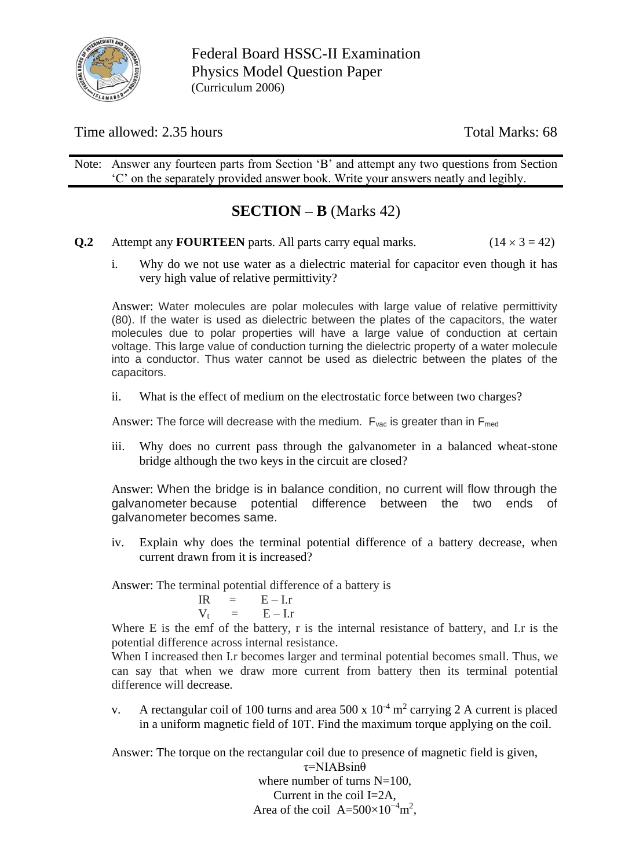

Federal Board HSSC-II Examination Physics Model Question Paper (Curriculum 2006)

Time allowed: 2.35 hours Total Marks: 68

Note: Answer any fourteen parts from Section 'B' and attempt any two questions from Section 'C' on the separately provided answer book. Write your answers neatly and legibly.

## **SECTION – B** (Marks 42)

- **Q.2** Attempt any **FOURTEEN** parts. All parts carry equal marks. ( $14 \times 3 = 42$ )
	- i. Why do we not use water as a dielectric material for capacitor even though it has very high value of relative permittivity?

Answer: Water molecules are polar molecules with large value of relative permittivity (80). If the water is used as dielectric between the plates of the capacitors, the water molecules due to polar properties will have a large value of conduction at certain voltage. This large value of conduction turning the dielectric property of a water molecule into a conductor. Thus water cannot be used as dielectric between the plates of the capacitors.

ii. What is the effect of medium on the electrostatic force between two charges?

Answer: The force will decrease with the medium.  $F_{\text{vac}}$  is greater than in  $F_{\text{med}}$ 

iii. Why does no current pass through the galvanometer in a balanced wheat-stone bridge although the two keys in the circuit are closed?

Answer: When the bridge is in balance condition, no current will flow through the galvanometer because potential difference between the two ends of galvanometer becomes same.

iv. Explain why does the terminal potential difference of a battery decrease, when current drawn from it is increased?

Answer: The terminal potential difference of a battery is

 $IR = E - Ir$  $V_t = E - I.r$ 

Where E is the emf of the battery, r is the internal resistance of battery, and I.r is the potential difference across internal resistance.

When I increased then I.r becomes larger and terminal potential becomes small. Thus, we can say that when we draw more current from battery then its terminal potential difference will decrease.

v. A rectangular coil of 100 turns and area 500 x  $10^{-4}$  m<sup>2</sup> carrying 2 A current is placed in a uniform magnetic field of 10T. Find the maximum torque applying on the coil.

Answer: The torque on the rectangular coil due to presence of magnetic field is given,

τ=NIABsinθ where number of turns  $N=100$ . Current in the coil I=2A, Area of the coil  $A=500\times10^{-4}$ m<sup>2</sup>,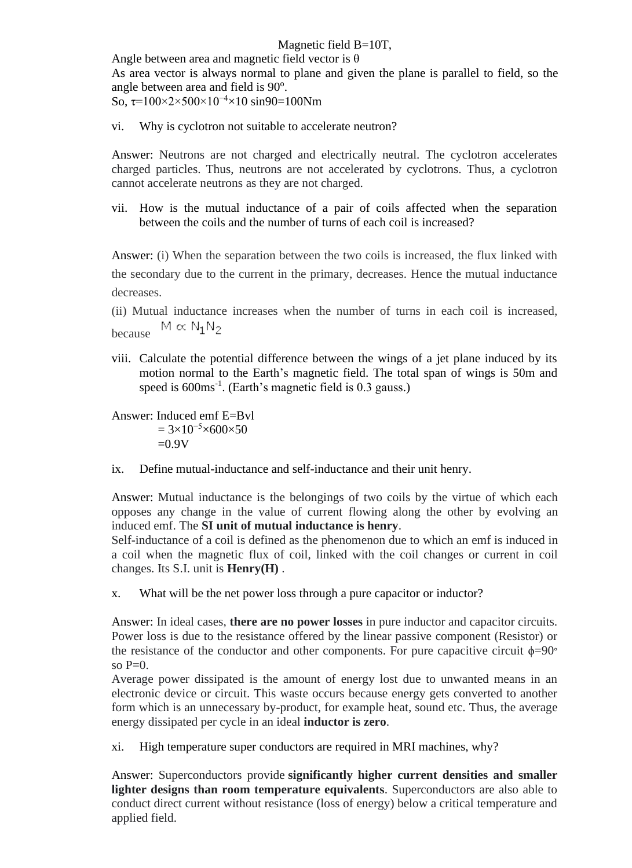## Magnetic field B=10T,

Angle between area and magnetic field vector is  $\theta$ 

As area vector is always normal to plane and given the plane is parallel to field, so the angle between area and field is 90°.

So,  $\tau$ =100×2×500×10<sup>-4</sup>×10 sin90=100Nm

vi. Why is cyclotron not suitable to accelerate neutron?

Answer: Neutrons are not charged and electrically neutral. The cyclotron accelerates charged particles. Thus, neutrons are not accelerated by cyclotrons. Thus, a cyclotron cannot accelerate neutrons as they are not charged.

vii. How is the mutual inductance of a pair of coils affected when the separation between the coils and the number of turns of each coil is increased?

Answer: (i) When the separation between the two coils is increased, the flux linked with the secondary due to the current in the primary, decreases. Hence the mutual inductance decreases.

(ii) Mutual inductance increases when the number of turns in each coil is increased,  $M \propto N_1 N_2$ because

viii. Calculate the potential difference between the wings of a jet plane induced by its motion normal to the Earth's magnetic field. The total span of wings is 50m and speed is 600ms<sup>-1</sup>. (Earth's magnetic field is 0.3 gauss.)

Answer: Induced emf E=Bvl  $= 3 \times 10^{-5} \times 600 \times 50$  $=0.9V$ 

ix. Define mutual-inductance and self-inductance and their unit henry.

Answer: Mutual inductance is the belongings of two coils by the virtue of which each opposes any change in the value of current flowing along the other by evolving an induced emf. The **SI unit of mutual inductance is henry**.

Self-inductance of a coil is defined as the phenomenon due to which an emf is induced in a coil when the magnetic flux of coil, linked with the coil changes or current in coil changes. Its S.I. unit is **Henry(H)** .

x. What will be the net power loss through a pure capacitor or inductor?

Answer: In ideal cases, **there are no power losses** in pure inductor and capacitor circuits. Power loss is due to the resistance offered by the linear passive component (Resistor) or the resistance of the conductor and other components. For pure capacitive circuit  $\phi = 90^\circ$ so  $P=0$ .

Average power dissipated is the amount of energy lost due to unwanted means in an electronic device or circuit. This waste occurs because energy gets converted to another form which is an unnecessary by-product, for example heat, sound etc. Thus, the average energy dissipated per cycle in an ideal **inductor is zero**.

xi. High temperature super conductors are required in MRI machines, why?

Answer: Superconductors provide **significantly higher current densities and smaller lighter designs than room temperature equivalents**. Superconductors are also able to conduct direct current without resistance (loss of energy) below a critical temperature and applied field.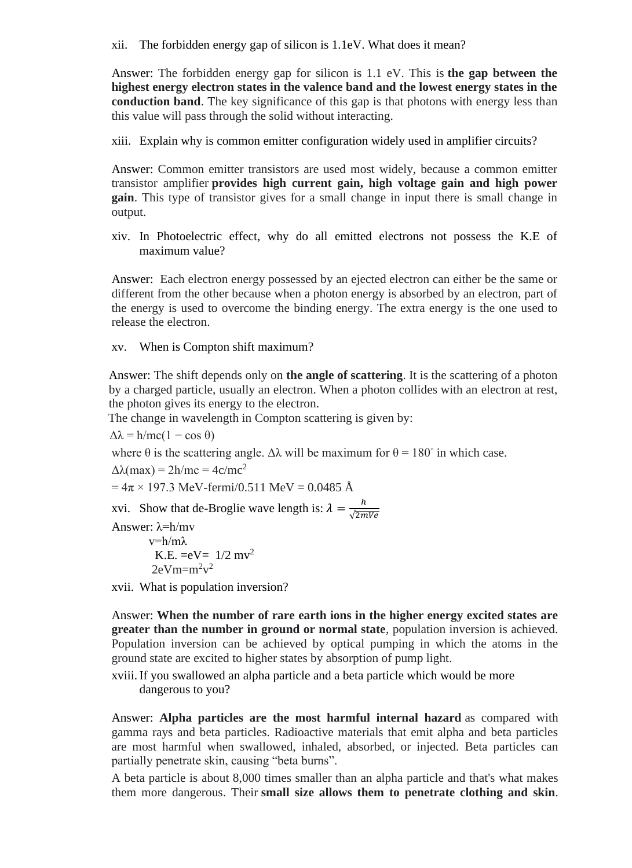xii. The forbidden energy gap of silicon is 1.1eV. What does it mean?

Answer: The forbidden energy gap for silicon is 1.1 eV. This is **the gap between the highest energy electron states in the valence band and the lowest energy states in the conduction band**. The key significance of this gap is that photons with energy less than this value will pass through the solid without interacting.

xiii. Explain why is common emitter configuration widely used in amplifier circuits?

Answer: Common emitter transistors are used most widely, because a common emitter transistor amplifier **provides high current gain, high voltage gain and high power gain**. This type of transistor gives for a small change in input there is small change in output.

xiv. In Photoelectric effect, why do all emitted electrons not possess the K.E of maximum value?

Answer: Each electron energy possessed by an ejected electron can either be the same or different from the other because when a photon energy is absorbed by an electron, part of the energy is used to overcome the binding energy. The extra energy is the one used to release the electron.

xv. When is Compton shift maximum?

Answer: The shift depends only on **the angle of scattering**. It is the scattering of a photon by a charged particle, usually an electron. When a photon collides with an electron at rest, the photon gives its energy to the electron.

The change in wavelength in Compton scattering is given by:

 $\Delta\lambda = h/mc(1 - \cos \theta)$ 

where  $\theta$  is the scattering angle.  $\Delta\lambda$  will be maximum for  $\theta = 180^\circ$  in which case.

 $\Delta\lambda$ (max) = 2h/mc = 4c/mc<sup>2</sup>

$$
= 4\pi \times 197.3
$$
 MeV-fermi/0.511 MeV = 0.0485 Å

xvi. Show that de-Broglie wave length is:  $\lambda = \frac{h}{\sqrt{2m}}$ √2mVe

Answer: λ=h/mv

 $v=h/mλ$ K.E.  $= eV = 1/2 mv^2$  $2eVm=m^2v^2$ 

xvii. What is population inversion?

Answer: **When the number of rare earth ions in the higher energy excited states are greater than the number in ground or normal state**, population inversion is achieved. Population inversion can be achieved by optical pumping in which the atoms in the ground state are excited to higher states by absorption of pump light.

xviii.If you swallowed an alpha particle and a beta particle which would be more dangerous to you?

Answer: **Alpha particles are the most harmful internal hazard** as compared with gamma rays and beta particles. Radioactive materials that emit alpha and beta particles are most harmful when swallowed, inhaled, absorbed, or injected. Beta particles can partially penetrate skin, causing "beta burns".

A beta particle is about 8,000 times smaller than an alpha particle and that's what makes them more dangerous. Their **small size allows them to penetrate clothing and skin**.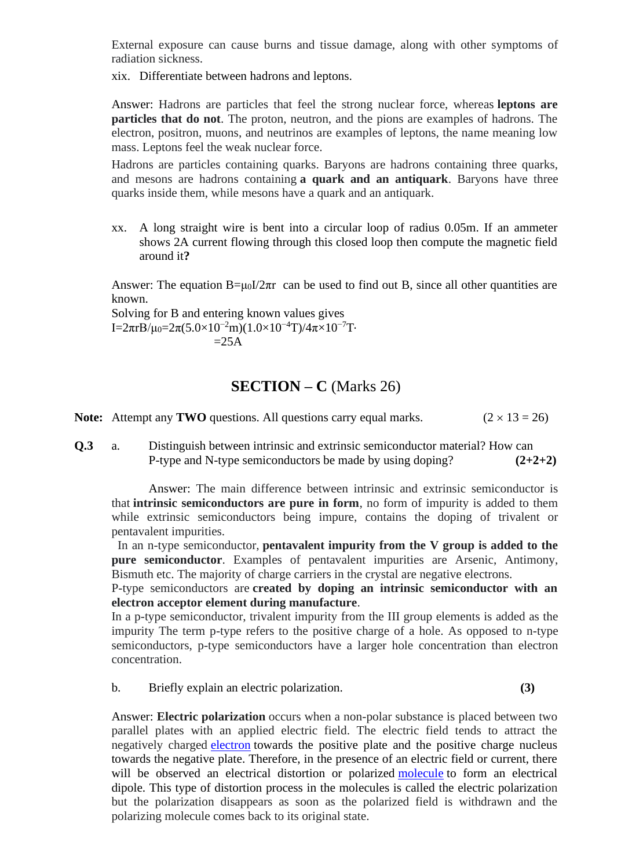External exposure can cause burns and tissue damage, along with other symptoms of radiation sickness.

xix. Differentiate between hadrons and leptons.

Answer: Hadrons are particles that feel the strong nuclear force, whereas **leptons are particles that do not**. The proton, neutron, and the pions are examples of hadrons. The electron, positron, muons, and neutrinos are examples of leptons, the name meaning low mass. Leptons feel the weak nuclear force.

Hadrons are particles containing quarks. Baryons are hadrons containing three quarks, and mesons are hadrons containing **a quark and an antiquark**. Baryons have three quarks inside them, while mesons have a quark and an antiquark.

xx. A long straight wire is bent into a circular loop of radius 0.05m. If an ammeter shows 2A current flowing through this closed loop then compute the magnetic field around it**?**

Answer: The equation  $B=\mu_0I/2\pi r$  can be used to find out B, since all other quantities are known.

Solving for B and entering known values gives I=2πrB/μ<sub>0</sub>=2π(5.0×10<sup>-2</sup>m)(1.0×10<sup>-4</sup>T)/4π×10<sup>-7</sup>T⋅  $=25A$ 

## **SECTION – C** (Marks 26)

**Note:** Attempt any **TWO** questions. All questions carry equal marks.  $(2 \times 13 = 26)$ 

**Q.3** a. Distinguish between intrinsic and extrinsic semiconductor material? How can P-type and N-type semiconductors be made by using doping?  $(2+2+2)$ 

Answer: The main difference between intrinsic and extrinsic semiconductor is that **intrinsic semiconductors are pure in form**, no form of impurity is added to them while extrinsic semiconductors being impure, contains the doping of trivalent or pentavalent impurities.

 In an n-type semiconductor, **pentavalent impurity from the V group is added to the pure semiconductor**. Examples of pentavalent impurities are Arsenic, Antimony, Bismuth etc. The majority of charge carriers in the crystal are negative electrons.

P-type semiconductors are **created by doping an intrinsic semiconductor with an electron acceptor element during manufacture**.

In a p-type semiconductor, trivalent impurity from the III group elements is added as the impurity The term p-type refers to the positive charge of a hole. As opposed to n-type semiconductors, p-type semiconductors have a larger hole concentration than electron concentration.

b. Briefly explain an electric polarization. **(3)**

Answer: **Electric polarization** occurs when a non-polar substance is placed between two parallel plates with an applied electric field. The electric field tends to attract the negatively charged [electron](https://www.priyamstudycentre.com/2020/12/electron.html) towards the positive plate and the positive charge nucleus towards the negative plate. Therefore, in the presence of an electric field or current, there will be observed an electrical distortion or polarized [molecule](https://www.priyamstudycentre.com/chemistry/molecule) to form an electrical dipole. This type of distortion process in the molecules is called the electric polarization but the polarization disappears as soon as the polarized field is withdrawn and the polarizing molecule comes back to its original state.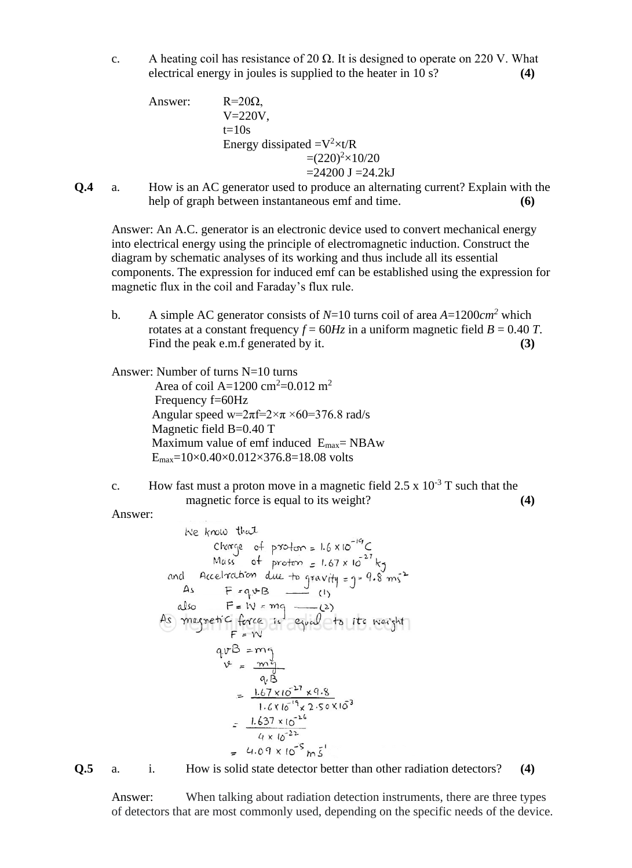c. A heating coil has resistance of 20  $\Omega$ . It is designed to operate on 220 V. What electrical energy in joules is supplied to the heater in 10 s? **(4)**

Answer: 
$$
R=20\Omega,
$$
  
\n
$$
V=220V,
$$
  
\nt=10s  
\nEnergy dissipated = $V^2 \times t/R$   
\n= (220)<sup>2</sup> $\times$ 10/20  
\n=24200 J =24.2kJ

**Q.4** a. How is an AC generator used to produce an alternating current? Explain with the help of graph between instantaneous emf and time. **(6)**

Answer: An A.C. generator is an electronic device used to convert mechanical energy into electrical energy using the principle of electromagnetic induction. Construct the diagram by schematic analyses of its working and thus include all its essential components. The expression for induced emf can be established using the expression for magnetic flux in the coil and Faraday's flux rule.

b. A simple AC generator consists of  $N=10$  turns coil of area  $A=1200$ cm<sup>2</sup> which rotates at a constant frequency  $f = 60Hz$  in a uniform magnetic field  $B = 0.40 T$ . Find the peak e.m.f generated by it. **(3)** 

Answer: Number of turns N=10 turns

Area of coil A=1200 cm<sup>2</sup>=0.012 m<sup>2</sup> Frequency f=60Hz Angular speed w= $2\pi f=2 \times \pi \times 60=376.8$  rad/s Magnetic field B=0.40 T Maximum value of emf induced Emax= NBAw  $E_{\text{max}} = 10 \times 0.40 \times 0.012 \times 376.8 = 18.08$  volts

c. How fast must a proton move in a magnetic field  $2.5 \times 10^{-3}$  T such that the magnetic force is equal to its weight? **(4)**

Answer:

We know that  
\n
$$
Ckarge \text{ of proton} = 1.6 \times 10^{-19}C
$$
\nMass of proton = 1.67 × 10<sup>-27</sup> kg  
\nand Acceleration due to gravity = 3 - 9.8 m s<sup>-2</sup>  
\nAs F = qvB — (1)  
\nalso F = IV = mg — (2)  
\nAs magnetic force is equal to its weight  
\n
$$
F = W
$$
\n
$$
qvB = mg
$$
\n
$$
v = \frac{m^2}{qB}
$$
\n
$$
= \frac{1.67 \times 10^{-27} \times 9.8}{1.6 \times 10^{-19} \times 2.50 \times 10^3}
$$
\n
$$
= \frac{1.637 \times 10^{-26}}{4 \times 10^{-22}}
$$
\n
$$
= 4.09 \times 10^{-5} m\frac{1}{5}
$$

**Q.5** a. i. How is solid state detector better than other radiation detectors? **(4)**

Answer: When talking about radiation detection instruments, there are three types of detectors that are most commonly used, depending on the specific needs of the device.